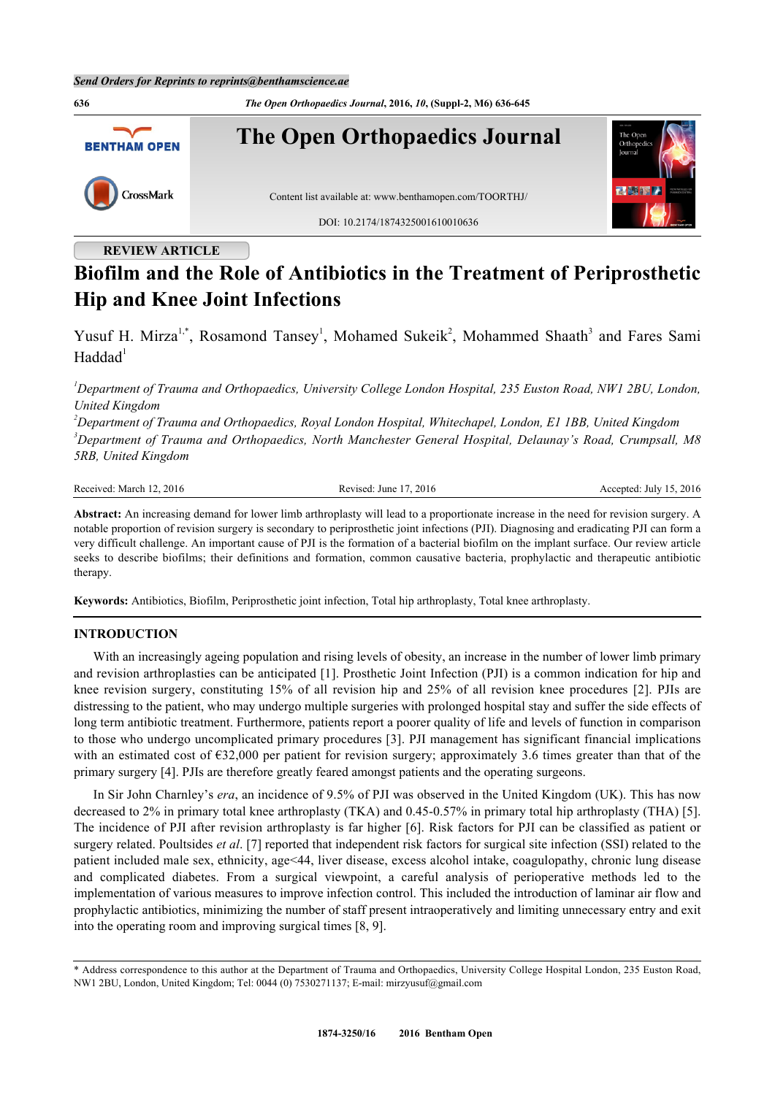

# **REVIEW ARTICLE**

# **Biofilm and the Role of Antibiotics in the Treatment of Periprosthetic Hip and Knee Joint Infections**

Yusuf H. Mirza<sup>[1](#page-0-0),[\\*](#page-0-1)</sup>, Rosamond Tansey<sup>1</sup>, Mohamed Sukeik<sup>[2](#page-0-2)</sup>, Mohammed Shaath<sup>[3](#page-0-3)</sup> and Fares Sami  $Haddad<sup>1</sup>$  $Haddad<sup>1</sup>$  $Haddad<sup>1</sup>$ 

<span id="page-0-0"></span>*<sup>1</sup>Department of Trauma and Orthopaedics, University College London Hospital, 235 Euston Road, NW1 2BU, London, United Kingdom*

<span id="page-0-3"></span><span id="page-0-2"></span>*<sup>2</sup>Department of Trauma and Orthopaedics, Royal London Hospital, Whitechapel, London, E1 1BB, United Kingdom <sup>3</sup>Department of Trauma and Orthopaedics, North Manchester General Hospital, Delaunay's Road, Crumpsall, M8 5RB, United Kingdom*

Received: March 12, 2016 Revised: June 17, 2016 Revised: July 15, 2016 Accepted: July 15, 2016

**Abstract:** An increasing demand for lower limb arthroplasty will lead to a proportionate increase in the need for revision surgery. A notable proportion of revision surgery is secondary to periprosthetic joint infections (PJI). Diagnosing and eradicating PJI can form a very difficult challenge. An important cause of PJI is the formation of a bacterial biofilm on the implant surface. Our review article seeks to describe biofilms; their definitions and formation, common causative bacteria, prophylactic and therapeutic antibiotic therapy.

**Keywords:** Antibiotics, Biofilm, Periprosthetic joint infection, Total hip arthroplasty, Total knee arthroplasty.

#### **INTRODUCTION**

With an increasingly ageing population and rising levels of obesity, an increase in the number of lower limb primary and revision arthroplasties can be anticipated [[1\]](#page-6-0). Prosthetic Joint Infection (PJI) is a common indication for hip and knee revision surgery, constituting 15% of all revision hip and 25% of all revision knee procedures[[2](#page-6-1)]. PJIs are distressing to the patient, who may undergo multiple surgeries with prolonged hospital stay and suffer the side effects of long term antibiotic treatment. Furthermore, patients report a poorer quality of life and levels of function in comparison to those who undergo uncomplicated primary procedures [[3](#page-6-2)]. PJI management has significant financial implications with an estimated cost of  $\epsilon$ 32,000 per patient for revision surgery; approximately 3.6 times greater than that of the primary surgery [[4\]](#page-6-3). PJIs are therefore greatly feared amongst patients and the operating surgeons.

In Sir John Charnley's *era*, an incidence of 9.5% of PJI was observed in the United Kingdom (UK). This has now decreased to 2% in primary total knee arthroplasty (TKA) and 0.45-0.57% in primary total hip arthroplasty (THA) [[5\]](#page-6-4). The incidence of PJI after revision arthroplasty is far higher [\[6](#page-6-5)]. Risk factors for PJI can be classified as patient or surgery related. Poultsides *et al*. [[7\]](#page-6-6) reported that independent risk factors for surgical site infection (SSI) related to the patient included male sex, ethnicity, age<44, liver disease, excess alcohol intake, coagulopathy, chronic lung disease and complicated diabetes. From a surgical viewpoint, a careful analysis of perioperative methods led to the implementation of various measures to improve infection control. This included the introduction of laminar air flow and prophylactic antibiotics, minimizing the number of staff present intraoperatively and limiting unnecessary entry and exit into the operating room and improving surgical times [\[8](#page-6-7), [9](#page-6-8)].

<span id="page-0-1"></span><sup>\*</sup> Address correspondence to this author at the Department of Trauma and Orthopaedics, University College Hospital London, 235 Euston Road, NW1 2BU, London, United Kingdom; Tel: 0044 (0) 7530271137; E-mail: [mirzyusuf@gmail.com](mailto:mirzyusuf@gmail.com)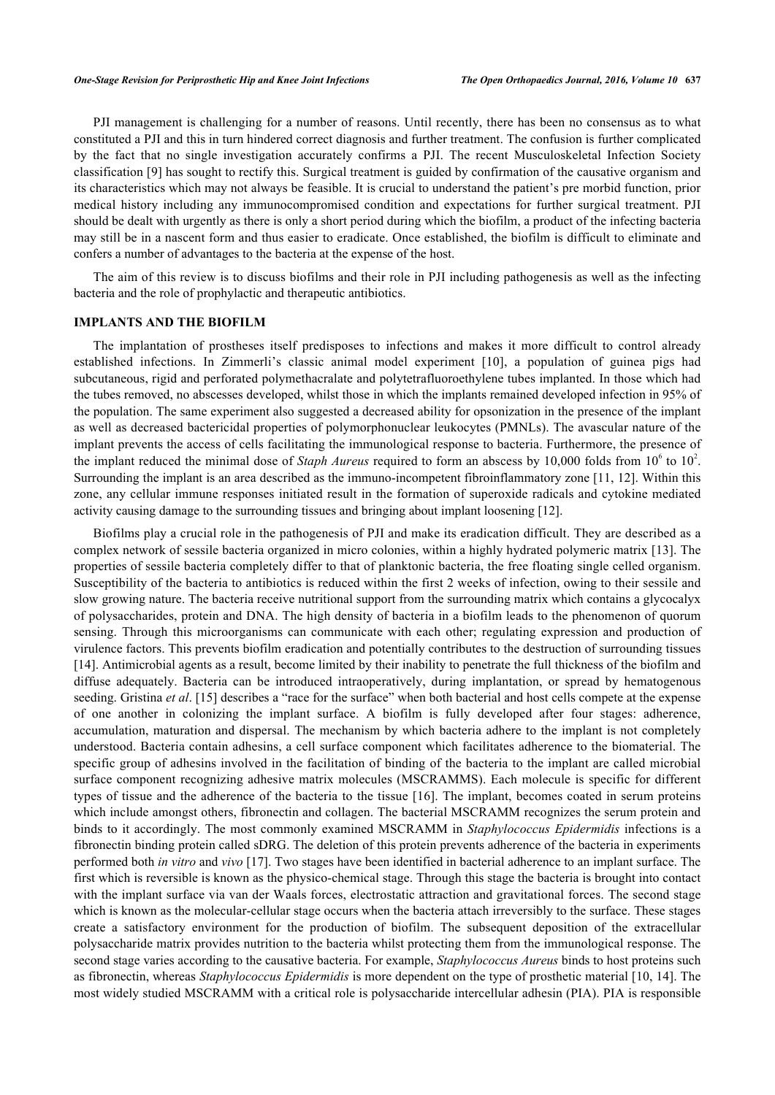PJI management is challenging for a number of reasons. Until recently, there has been no consensus as to what constituted a PJI and this in turn hindered correct diagnosis and further treatment. The confusion is further complicated by the fact that no single investigation accurately confirms a PJI. The recent Musculoskeletal Infection Society classification [\[9](#page-6-8)] has sought to rectify this. Surgical treatment is guided by confirmation of the causative organism and its characteristics which may not always be feasible. It is crucial to understand the patient's pre morbid function, prior medical history including any immunocompromised condition and expectations for further surgical treatment. PJI should be dealt with urgently as there is only a short period during which the biofilm, a product of the infecting bacteria may still be in a nascent form and thus easier to eradicate. Once established, the biofilm is difficult to eliminate and confers a number of advantages to the bacteria at the expense of the host.

The aim of this review is to discuss biofilms and their role in PJI including pathogenesis as well as the infecting bacteria and the role of prophylactic and therapeutic antibiotics.

# **IMPLANTS AND THE BIOFILM**

The implantation of prostheses itself predisposes to infections and makes it more difficult to control already established infections. In Zimmerli's classic animal model experiment[[10\]](#page-6-9), a population of guinea pigs had subcutaneous, rigid and perforated polymethacralate and polytetrafluoroethylene tubes implanted. In those which had the tubes removed, no abscesses developed, whilst those in which the implants remained developed infection in 95% of the population. The same experiment also suggested a decreased ability for opsonization in the presence of the implant as well as decreased bactericidal properties of polymorphonuclear leukocytes (PMNLs). The avascular nature of the implant prevents the access of cells facilitating the immunological response to bacteria. Furthermore, the presence of the implant reduced the minimal dose of *Staph Aureus* required to form an abscess by 10,000 folds from  $10^6$  to  $10^2$ . Surrounding the implant is an area described as the immuno-incompetent fibroinflammatory zone [\[11](#page-7-0), [12\]](#page-7-1). Within this zone, any cellular immune responses initiated result in the formation of superoxide radicals and cytokine mediated activity causing damage to the surrounding tissues and bringing about implant loosening [[12\]](#page-7-1).

Biofilms play a crucial role in the pathogenesis of PJI and make its eradication difficult. They are described as a complex network of sessile bacteria organized in micro colonies, within a highly hydrated polymeric matrix [[13](#page-7-2)]. The properties of sessile bacteria completely differ to that of planktonic bacteria, the free floating single celled organism. Susceptibility of the bacteria to antibiotics is reduced within the first 2 weeks of infection, owing to their sessile and slow growing nature. The bacteria receive nutritional support from the surrounding matrix which contains a glycocalyx of polysaccharides, protein and DNA. The high density of bacteria in a biofilm leads to the phenomenon of quorum sensing. Through this microorganisms can communicate with each other; regulating expression and production of virulence factors. This prevents biofilm eradication and potentially contributes to the destruction of surrounding tissues [\[14](#page-7-3)]. Antimicrobial agents as a result, become limited by their inability to penetrate the full thickness of the biofilm and diffuse adequately. Bacteria can be introduced intraoperatively, during implantation, or spread by hematogenous seeding. Gristina *et al*. [[15\]](#page-7-4) describes a "race for the surface" when both bacterial and host cells compete at the expense of one another in colonizing the implant surface. A biofilm is fully developed after four stages: adherence, accumulation, maturation and dispersal. The mechanism by which bacteria adhere to the implant is not completely understood. Bacteria contain adhesins, a cell surface component which facilitates adherence to the biomaterial. The specific group of adhesins involved in the facilitation of binding of the bacteria to the implant are called microbial surface component recognizing adhesive matrix molecules (MSCRAMMS). Each molecule is specific for different types of tissue and the adherence of the bacteria to the tissue [[16\]](#page-7-5). The implant, becomes coated in serum proteins which include amongst others, fibronectin and collagen. The bacterial MSCRAMM recognizes the serum protein and binds to it accordingly. The most commonly examined MSCRAMM in *Staphylococcus Epidermidis* infections is a fibronectin binding protein called sDRG. The deletion of this protein prevents adherence of the bacteria in experiments performed both *in vitro* and *vivo* [[17\]](#page-7-6). Two stages have been identified in bacterial adherence to an implant surface. The first which is reversible is known as the physico-chemical stage. Through this stage the bacteria is brought into contact with the implant surface via van der Waals forces, electrostatic attraction and gravitational forces. The second stage which is known as the molecular-cellular stage occurs when the bacteria attach irreversibly to the surface. These stages create a satisfactory environment for the production of biofilm. The subsequent deposition of the extracellular polysaccharide matrix provides nutrition to the bacteria whilst protecting them from the immunological response. The second stage varies according to the causative bacteria. For example, *Staphylococcus Aureus* binds to host proteins such as fibronectin, whereas *Staphylococcus Epidermidis* is more dependent on the type of prosthetic material [[10,](#page-6-9) [14](#page-7-3)]. The most widely studied MSCRAMM with a critical role is polysaccharide intercellular adhesin (PIA). PIA is responsible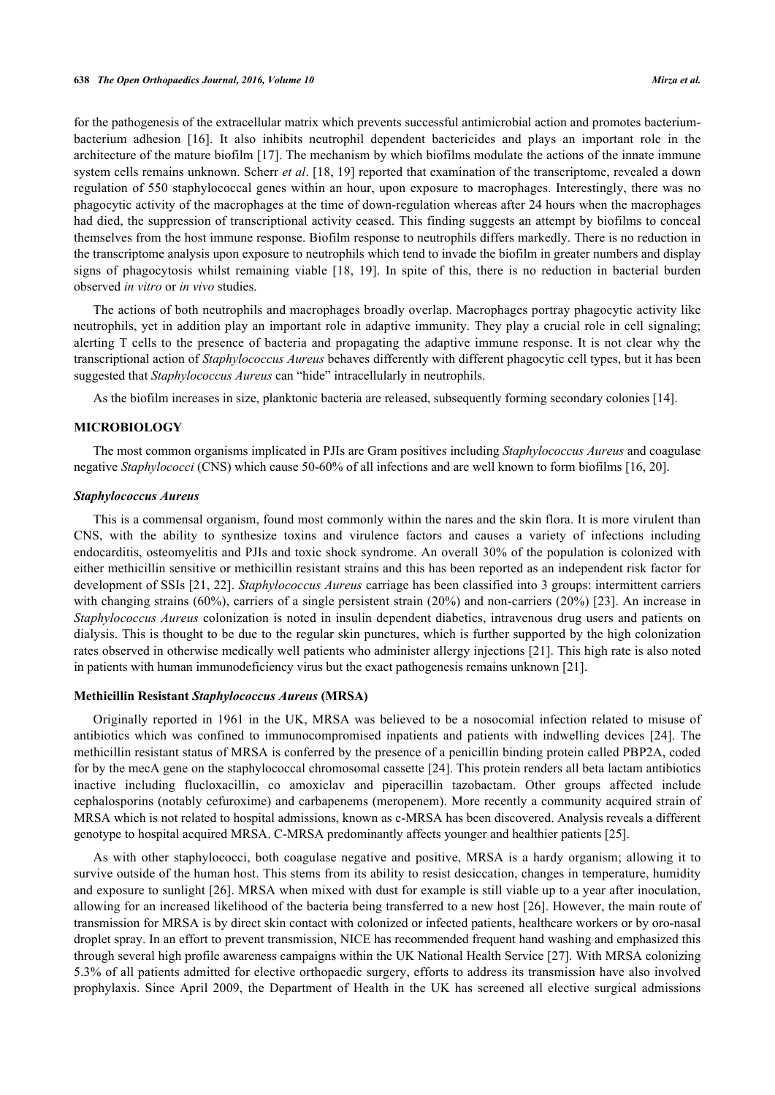for the pathogenesis of the extracellular matrix which prevents successful antimicrobial action and promotes bacteriumbacterium adhesion[[16\]](#page-7-5). It also inhibits neutrophil dependent bactericides and plays an important role in the architecture of the mature biofilm [[17](#page-7-6)]. The mechanism by which biofilms modulate the actions of the innate immune system cells remains unknown. Scherr *et al*. [[18,](#page-7-7) [19](#page-7-8)] reported that examination of the transcriptome, revealed a down regulation of 550 staphylococcal genes within an hour, upon exposure to macrophages. Interestingly, there was no phagocytic activity of the macrophages at the time of down-regulation whereas after 24 hours when the macrophages had died, the suppression of transcriptional activity ceased. This finding suggests an attempt by biofilms to conceal themselves from the host immune response. Biofilm response to neutrophils differs markedly. There is no reduction in the transcriptome analysis upon exposure to neutrophils which tend to invade the biofilm in greater numbers and display signs of phagocytosis whilst remaining viable[[18](#page-7-7), [19](#page-7-8)]. In spite of this, there is no reduction in bacterial burden observed *in vitro* or *in vivo* studies.

The actions of both neutrophils and macrophages broadly overlap. Macrophages portray phagocytic activity like neutrophils, yet in addition play an important role in adaptive immunity. They play a crucial role in cell signaling; alerting T cells to the presence of bacteria and propagating the adaptive immune response. It is not clear why the transcriptional action of *Staphylococcus Aureus* behaves differently with different phagocytic cell types, but it has been suggested that *Staphylococcus Aureus* can "hide" intracellularly in neutrophils.

As the biofilm increases in size, planktonic bacteria are released, subsequently forming secondary colonies [[14\]](#page-7-3).

## **MICROBIOLOGY**

The most common organisms implicated in PJIs are Gram positives including *Staphylococcus Aureus* and coagulase negative *Staphylococci* (CNS) which cause 50-60% of all infections and are well known to form biofilms [[16,](#page-7-5) [20\]](#page-7-9).

#### *Staphylococcus Aureus*

This is a commensal organism, found most commonly within the nares and the skin flora. It is more virulent than CNS, with the ability to synthesize toxins and virulence factors and causes a variety of infections including endocarditis, osteomyelitis and PJIs and toxic shock syndrome. An overall 30% of the population is colonized with either methicillin sensitive or methicillin resistant strains and this has been reported as an independent risk factor for development of SSIs [[21,](#page-7-10) [22](#page-7-11)]. *Staphylococcus Aureus* carriage has been classified into 3 groups: intermittent carriers with changing strains (60%), carriers of a single persistent strain  $(20%)$  and non-carriers  $(20%)$  [\[23\]](#page-7-12). An increase in *Staphylococcus Aureus* colonization is noted in insulin dependent diabetics, intravenous drug users and patients on dialysis. This is thought to be due to the regular skin punctures, which is further supported by the high colonization rates observed in otherwise medically well patients who administer allergy injections [[21\]](#page-7-10). This high rate is also noted in patients with human immunodeficiency virus but the exact pathogenesis remains unknown [[21\]](#page-7-10).

## **Methicillin Resistant** *Staphylococcus Aureus* **(MRSA)**

Originally reported in 1961 in the UK, MRSA was believed to be a nosocomial infection related to misuse of antibiotics which was confined to immunocompromised inpatients and patients with indwelling devices[[24\]](#page-7-13). The methicillin resistant status of MRSA is conferred by the presence of a penicillin binding protein called PBP2A, coded for by the mecA gene on the staphylococcal chromosomal cassette [\[24](#page-7-13)]. This protein renders all beta lactam antibiotics inactive including flucloxacillin, co amoxiclav and piperacillin tazobactam. Other groups affected include cephalosporins (notably cefuroxime) and carbapenems (meropenem). More recently a community acquired strain of MRSA which is not related to hospital admissions, known as c-MRSA has been discovered. Analysis reveals a different genotype to hospital acquired MRSA. C-MRSA predominantly affects younger and healthier patients [\[25](#page-7-14)].

As with other staphylococci, both coagulase negative and positive, MRSA is a hardy organism; allowing it to survive outside of the human host. This stems from its ability to resist desiccation, changes in temperature, humidity and exposure to sunlight [[26](#page-7-15)]. MRSA when mixed with dust for example is still viable up to a year after inoculation, allowing for an increased likelihood of the bacteria being transferred to a new host [[26\]](#page-7-15). However, the main route of transmission for MRSA is by direct skin contact with colonized or infected patients, healthcare workers or by oro-nasal droplet spray. In an effort to prevent transmission, NICE has recommended frequent hand washing and emphasized this through several high profile awareness campaigns within the UK National Health Service [[27\]](#page-7-16). With MRSA colonizing 5.3% of all patients admitted for elective orthopaedic surgery, efforts to address its transmission have also involved prophylaxis. Since April 2009, the Department of Health in the UK has screened all elective surgical admissions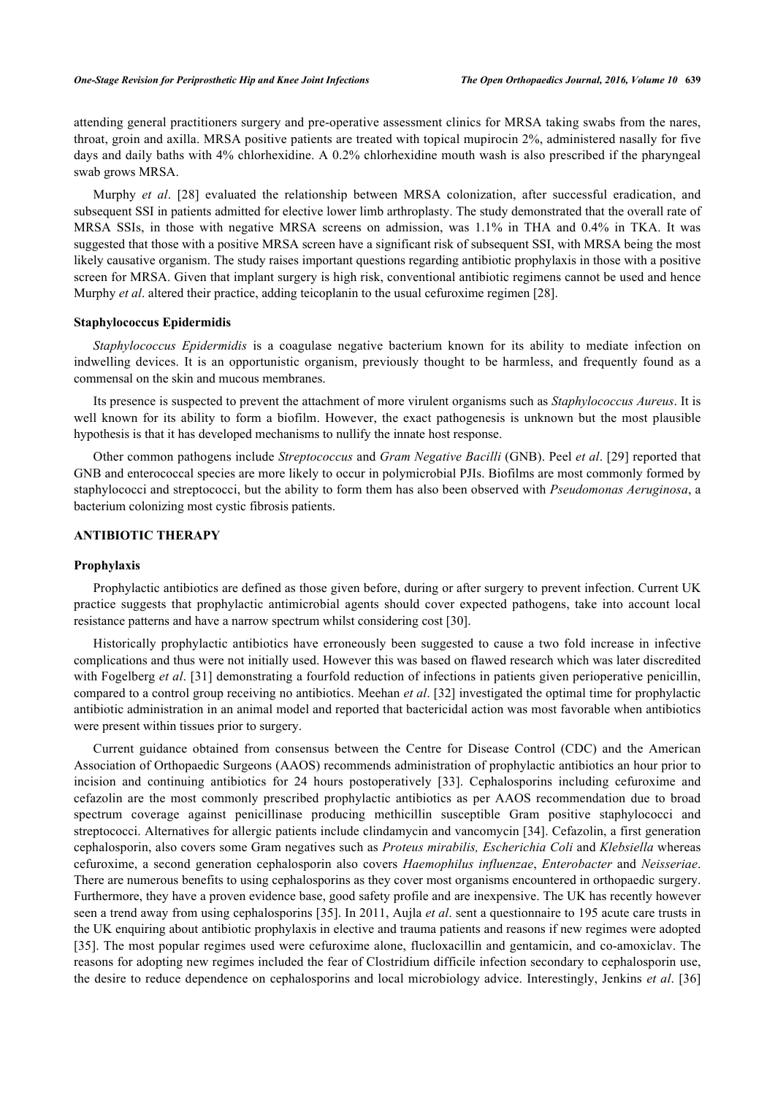attending general practitioners surgery and pre-operative assessment clinics for MRSA taking swabs from the nares, throat, groin and axilla. MRSA positive patients are treated with topical mupirocin 2%, administered nasally for five days and daily baths with 4% chlorhexidine. A 0.2% chlorhexidine mouth wash is also prescribed if the pharyngeal swab grows MRSA.

Murphy *et al*.[[28\]](#page-7-17) evaluated the relationship between MRSA colonization, after successful eradication, and subsequent SSI in patients admitted for elective lower limb arthroplasty. The study demonstrated that the overall rate of MRSA SSIs, in those with negative MRSA screens on admission, was 1.1% in THA and 0.4% in TKA. It was suggested that those with a positive MRSA screen have a significant risk of subsequent SSI, with MRSA being the most likely causative organism. The study raises important questions regarding antibiotic prophylaxis in those with a positive screen for MRSA. Given that implant surgery is high risk, conventional antibiotic regimens cannot be used and hence Murphy *et al*. altered their practice, adding teicoplanin to the usual cefuroxime regimen [\[28](#page-7-17)].

#### **Staphylococcus Epidermidis**

*Staphylococcus Epidermidis* is a coagulase negative bacterium known for its ability to mediate infection on indwelling devices. It is an opportunistic organism, previously thought to be harmless, and frequently found as a commensal on the skin and mucous membranes.

Its presence is suspected to prevent the attachment of more virulent organisms such as *Staphylococcus Aureus*. It is well known for its ability to form a biofilm. However, the exact pathogenesis is unknown but the most plausible hypothesis is that it has developed mechanisms to nullify the innate host response.

Other common pathogens include *Streptococcus* and *Gram Negative Bacilli* (GNB). Peel *et al*. [[29\]](#page-7-18) reported that GNB and enterococcal species are more likely to occur in polymicrobial PJIs. Biofilms are most commonly formed by staphylococci and streptococci, but the ability to form them has also been observed with *Pseudomonas Aeruginosa*, a bacterium colonizing most cystic fibrosis patients.

## **ANTIBIOTIC THERAPY**

#### **Prophylaxis**

Prophylactic antibiotics are defined as those given before, during or after surgery to prevent infection. Current UK practice suggests that prophylactic antimicrobial agents should cover expected pathogens, take into account local resistance patterns and have a narrow spectrum whilst considering cost [\[30](#page-7-19)].

Historically prophylactic antibiotics have erroneously been suggested to cause a two fold increase in infective complications and thus were not initially used. However this was based on flawed research which was later discredited with Fogelberg *et al.* [[31\]](#page-8-0) demonstrating a fourfold reduction of infections in patients given perioperative penicillin, compared to a control group receiving no antibiotics. Meehan *et al*. [[32\]](#page-8-1) investigated the optimal time for prophylactic antibiotic administration in an animal model and reported that bactericidal action was most favorable when antibiotics were present within tissues prior to surgery.

Current guidance obtained from consensus between the Centre for Disease Control (CDC) and the American Association of Orthopaedic Surgeons (AAOS) recommends administration of prophylactic antibiotics an hour prior to incision and continuing antibiotics for 24 hours postoperatively[[33](#page-8-2)]. Cephalosporins including cefuroxime and cefazolin are the most commonly prescribed prophylactic antibiotics as per AAOS recommendation due to broad spectrum coverage against penicillinase producing methicillin susceptible Gram positive staphylococci and streptococci. Alternatives for allergic patients include clindamycin and vancomycin [\[34](#page-8-3)]. Cefazolin, a first generation cephalosporin, also covers some Gram negatives such as *Proteus mirabilis, Escherichia Coli* and *Klebsiella* whereas cefuroxime, a second generation cephalosporin also covers *Haemophilus influenzae*, *Enterobacter* and *Neisseriae*. There are numerous benefits to using cephalosporins as they cover most organisms encountered in orthopaedic surgery. Furthermore, they have a proven evidence base, good safety profile and are inexpensive. The UK has recently however seen a trend away from using cephalosporins [\[35](#page-8-4)]. In 2011, Aujla *et al*. sent a questionnaire to 195 acute care trusts in the UK enquiring about antibiotic prophylaxis in elective and trauma patients and reasons if new regimes were adopted [\[35](#page-8-4)]. The most popular regimes used were cefuroxime alone, flucloxacillin and gentamicin, and co-amoxiclav. The reasons for adopting new regimes included the fear of Clostridium difficile infection secondary to cephalosporin use, the desire to reduce dependence on cephalosporins and local microbiology advice. Interestingly, Jenkins *et al*. [[36](#page-8-5)]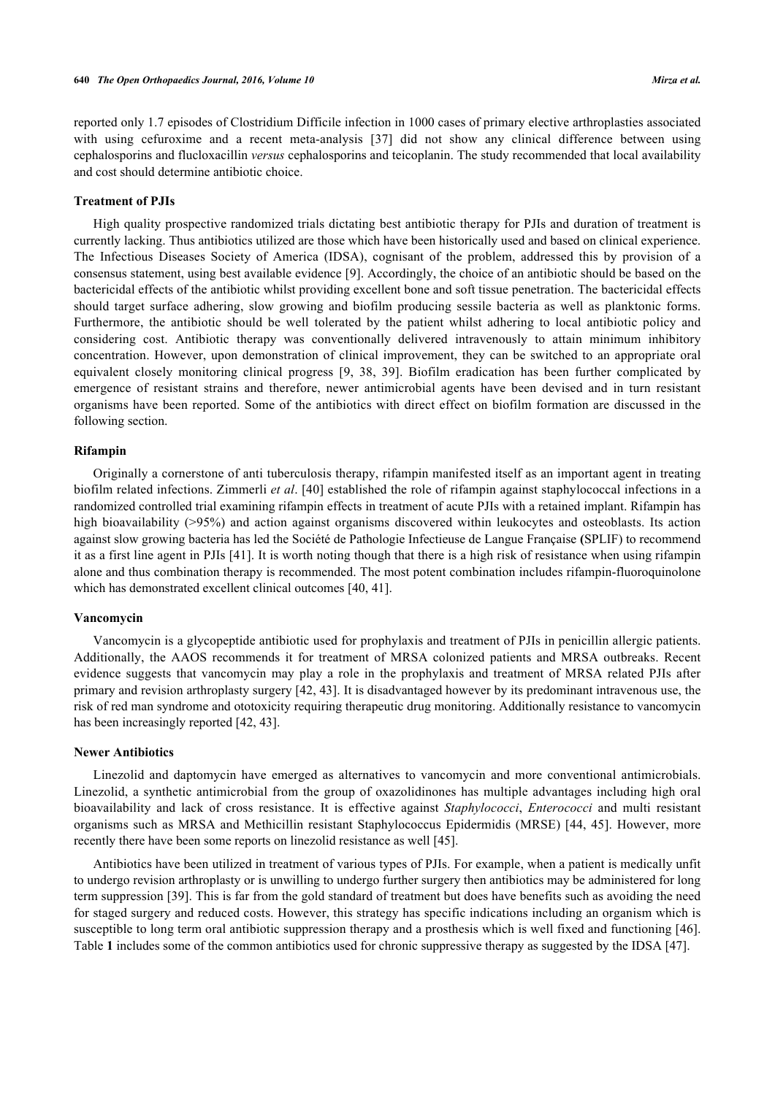reported only 1.7 episodes of Clostridium Difficile infection in 1000 cases of primary elective arthroplasties associated with using cefuroxime and a recent meta-analysis [\[37](#page-8-6)] did not show any clinical difference between using cephalosporins and flucloxacillin *versus* cephalosporins and teicoplanin. The study recommended that local availability and cost should determine antibiotic choice.

#### **Treatment of PJIs**

High quality prospective randomized trials dictating best antibiotic therapy for PJIs and duration of treatment is currently lacking. Thus antibiotics utilized are those which have been historically used and based on clinical experience. The Infectious Diseases Society of America (IDSA), cognisant of the problem, addressed this by provision of a consensus statement, using best available evidence [[9\]](#page-6-8). Accordingly, the choice of an antibiotic should be based on the bactericidal effects of the antibiotic whilst providing excellent bone and soft tissue penetration. The bactericidal effects should target surface adhering, slow growing and biofilm producing sessile bacteria as well as planktonic forms. Furthermore, the antibiotic should be well tolerated by the patient whilst adhering to local antibiotic policy and considering cost. Antibiotic therapy was conventionally delivered intravenously to attain minimum inhibitory concentration. However, upon demonstration of clinical improvement, they can be switched to an appropriate oral equivalent closely monitoring clinical progress[[9](#page-6-8), [38](#page-8-7), [39\]](#page-8-8). Biofilm eradication has been further complicated by emergence of resistant strains and therefore, newer antimicrobial agents have been devised and in turn resistant organisms have been reported. Some of the antibiotics with direct effect on biofilm formation are discussed in the following section.

## **Rifampin**

Originally a cornerstone of anti tuberculosis therapy, rifampin manifested itself as an important agent in treating biofilm related infections. Zimmerli *et al*. [\[40](#page-8-9)] established the role of rifampin against staphylococcal infections in a randomized controlled trial examining rifampin effects in treatment of acute PJIs with a retained implant. Rifampin has high bioavailability (>95%) and action against organisms discovered within leukocytes and osteoblasts. Its action against slow growing bacteria has led the Société de Pathologie Infectieuse de Langue Française **(**SPLIF) to recommend it as a first line agent in PJIs [\[41\]](#page-8-10). It is worth noting though that there is a high risk of resistance when using rifampin alone and thus combination therapy is recommended. The most potent combination includes rifampin-fluoroquinolone which has demonstrated excellent clinical outcomes [[40,](#page-8-9) [41\]](#page-8-10).

#### **Vancomycin**

Vancomycin is a glycopeptide antibiotic used for prophylaxis and treatment of PJIs in penicillin allergic patients. Additionally, the AAOS recommends it for treatment of MRSA colonized patients and MRSA outbreaks. Recent evidence suggests that vancomycin may play a role in the prophylaxis and treatment of MRSA related PJIs after primary and revision arthroplasty surgery [\[42](#page-8-11), [43\]](#page-8-12). It is disadvantaged however by its predominant intravenous use, the risk of red man syndrome and ototoxicity requiring therapeutic drug monitoring. Additionally resistance to vancomycin has been increasingly reported [\[42](#page-8-11), [43](#page-8-12)].

## **Newer Antibiotics**

Linezolid and daptomycin have emerged as alternatives to vancomycin and more conventional antimicrobials. Linezolid, a synthetic antimicrobial from the group of oxazolidinones has multiple advantages including high oral bioavailability and lack of cross resistance. It is effective against *Staphylococci*, *Enterococci* and multi resistant organisms such as MRSA and Methicillin resistant Staphylococcus Epidermidis (MRSE) [[44](#page-8-13), [45](#page-8-14)]. However, more recently there have been some reports on linezolid resistance as well [\[45](#page-8-14)].

Antibiotics have been utilized in treatment of various types of PJIs. For example, when a patient is medically unfit to undergo revision arthroplasty or is unwilling to undergo further surgery then antibiotics may be administered for long term suppression [[39\]](#page-8-8). This is far from the gold standard of treatment but does have benefits such as avoiding the need for staged surgery and reduced costs. However, this strategy has specific indications including an organism which is susceptible to long term oral antibiotic suppression therapy and a prosthesis which is well fixed and functioning [[46\]](#page-8-15). Table **[1](#page-5-0)** includes some of the common antibiotics used for chronic suppressive therapy as suggested by the IDSA [\[47](#page-8-16)].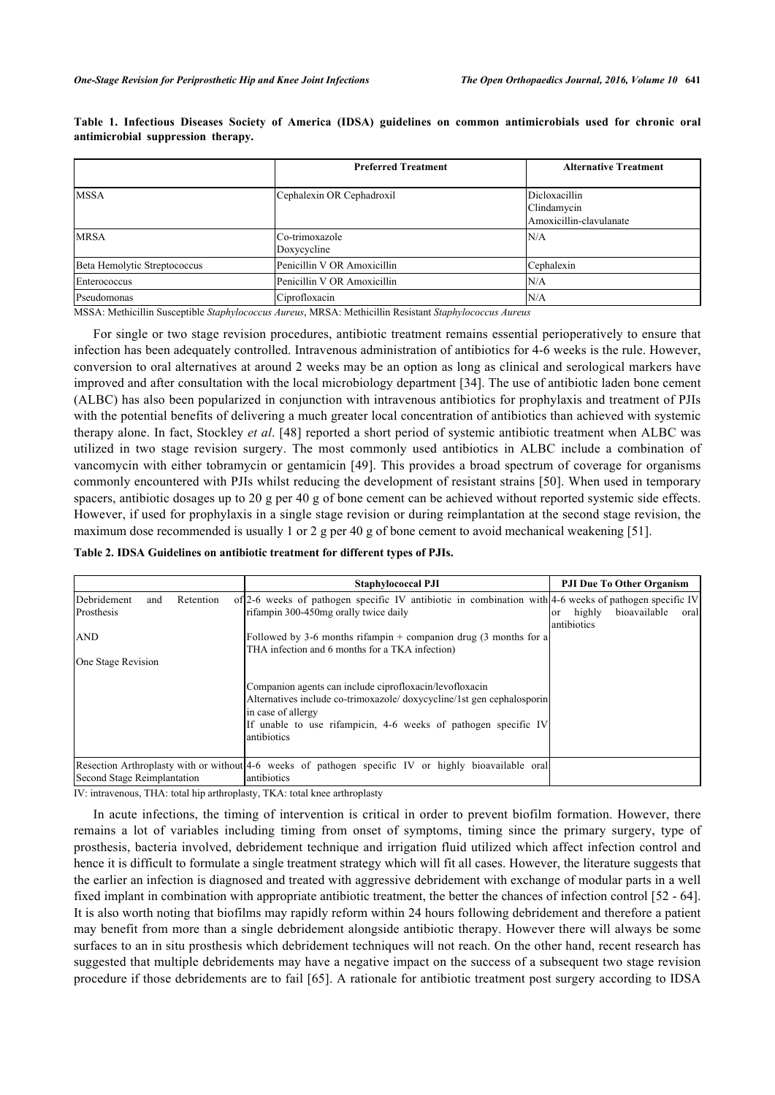|                              | <b>Preferred Treatment</b>    | <b>Alternative Treatment</b>                            |
|------------------------------|-------------------------------|---------------------------------------------------------|
| <b>MSSA</b>                  | Cephalexin OR Cephadroxil     | Dicloxacillin<br>Clindamycin<br>Amoxicillin-clavulanate |
| <b>MRSA</b>                  | Co-trimoxazole<br>Doxycycline | N/A                                                     |
| Beta Hemolytic Streptococcus | Penicillin V OR Amoxicillin   | Cephalexin                                              |
| Enterococcus                 | Penicillin V OR Amoxicillin   | N/A                                                     |
| Pseudomonas                  | Ciprofloxacin                 | N/A                                                     |

<span id="page-5-0"></span>**Table 1. Infectious Diseases Society of America (IDSA) guidelines on common antimicrobials used for chronic oral antimicrobial suppression therapy.**

MSSA: Methicillin Susceptible *Staphylococcus Aureus*, MRSA: Methicillin Resistant *Staphylococcus Aureus*

For single or two stage revision procedures, antibiotic treatment remains essential perioperatively to ensure that infection has been adequately controlled. Intravenous administration of antibiotics for 4-6 weeks is the rule. However, conversion to oral alternatives at around 2 weeks may be an option as long as clinical and serological markers have improved and after consultation with the local microbiology department [[34\]](#page-8-3). The use of antibiotic laden bone cement (ALBC) has also been popularized in conjunction with intravenous antibiotics for prophylaxis and treatment of PJIs with the potential benefits of delivering a much greater local concentration of antibiotics than achieved with systemic therapy alone. In fact, Stockley *et al*. [[48](#page-8-17)] reported a short period of systemic antibiotic treatment when ALBC was utilized in two stage revision surgery. The most commonly used antibiotics in ALBC include a combination of vancomycin with either tobramycin or gentamicin [[49](#page-8-18)]. This provides a broad spectrum of coverage for organisms commonly encountered with PJIs whilst reducing the development of resistant strains [[50\]](#page-8-19). When used in temporary spacers, antibiotic dosages up to 20 g per 40 g of bone cement can be achieved without reported systemic side effects. However, if used for prophylaxis in a single stage revision or during reimplantation at the second stage revision, the maximum dose recommended is usually 1 or 2 g per 40 g of bone cement to avoid mechanical weakening [\[51](#page-9-0)].

<span id="page-5-1"></span>

| Table 2. IDSA Guidelines on antibiotic treatment for different types of PJIs. |  |
|-------------------------------------------------------------------------------|--|
|-------------------------------------------------------------------------------|--|

|                                  | <b>Staphylococcal PJI</b>                                                                                                                                                                                                               | <b>PJI Due To Other Organism</b>                |
|----------------------------------|-----------------------------------------------------------------------------------------------------------------------------------------------------------------------------------------------------------------------------------------|-------------------------------------------------|
| Debridement<br>Retention<br>and  | of $[2-6$ weeks of pathogen specific IV antibiotic in combination with $[4-6$ weeks of pathogen specific IV                                                                                                                             |                                                 |
| Prosthesis                       | rifampin 300-450mg orally twice daily                                                                                                                                                                                                   | bioavailable<br>highly<br>oral<br><sub>or</sub> |
| <b>AND</b><br>One Stage Revision | Followed by 3-6 months rifampin $+$ companion drug (3 months for a<br>THA infection and 6 months for a TKA infection)                                                                                                                   | antibiotics                                     |
|                                  | Companion agents can include ciprofloxacin/levofloxacin<br>Alternatives include co-trimoxazole/doxycycline/1st gen cephalosporin<br>in case of allergy<br>If unable to use rifampicin, 4-6 weeks of pathogen specific IV<br>antibiotics |                                                 |
| Second Stage Reimplantation      | Resection Arthroplasty with or without 4-6 weeks of pathogen specific IV or highly bioavailable oral<br>lantibiotics                                                                                                                    |                                                 |

IV: intravenous, THA: total hip arthroplasty, TKA: total knee arthroplasty

In acute infections, the timing of intervention is critical in order to prevent biofilm formation. However, there remains a lot of variables including timing from onset of symptoms, timing since the primary surgery, type of prosthesis, bacteria involved, debridement technique and irrigation fluid utilized which affect infection control and hence it is difficult to formulate a single treatment strategy which will fit all cases. However, the literature suggests that the earlier an infection is diagnosed and treated with aggressive debridement with exchange of modular parts in a well fixed implant in combination with appropriate antibiotic treatment, the better the chances of infection control [[52](#page-9-1) - [64\]](#page-9-2). It is also worth noting that biofilms may rapidly reform within 24 hours following debridement and therefore a patient may benefit from more than a single debridement alongside antibiotic therapy. However there will always be some surfaces to an in situ prosthesis which debridement techniques will not reach. On the other hand, recent research has suggested that multiple debridements may have a negative impact on the success of a subsequent two stage revision procedure if those debridements are to fail [[65\]](#page-9-3). A rationale for antibiotic treatment post surgery according to IDSA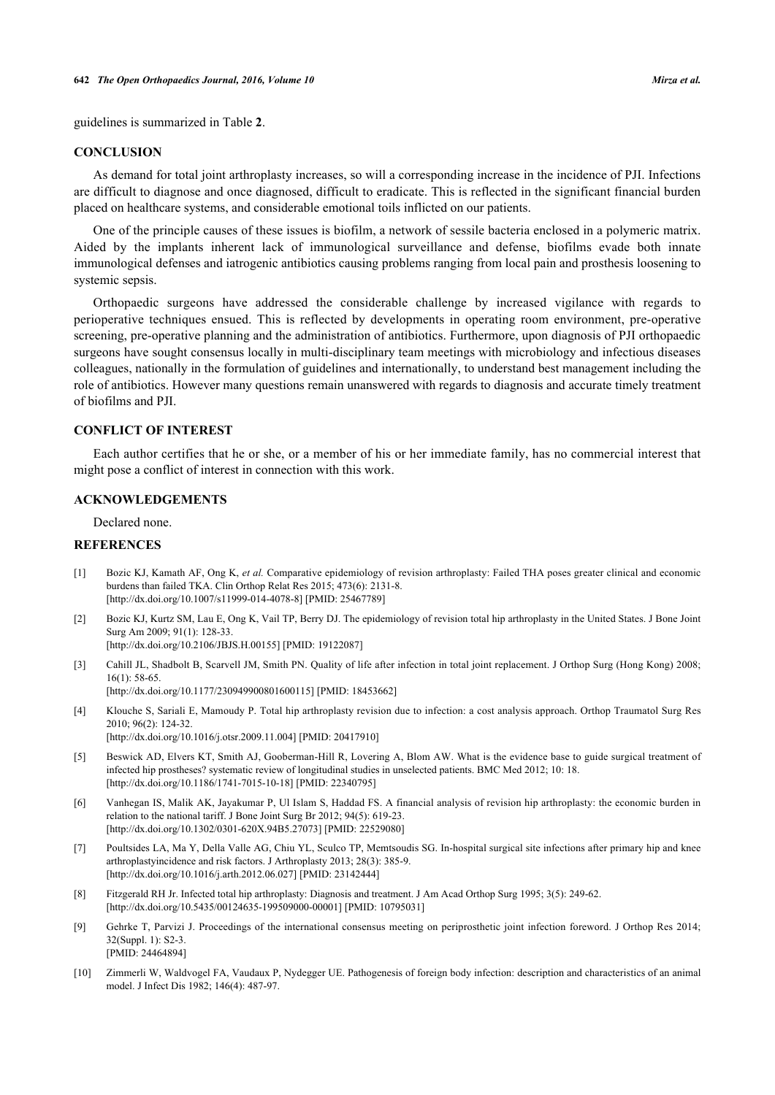guidelines is summarized in Table **[2](#page-5-1)**.

### **CONCLUSION**

As demand for total joint arthroplasty increases, so will a corresponding increase in the incidence of PJI. Infections are difficult to diagnose and once diagnosed, difficult to eradicate. This is reflected in the significant financial burden placed on healthcare systems, and considerable emotional toils inflicted on our patients.

One of the principle causes of these issues is biofilm, a network of sessile bacteria enclosed in a polymeric matrix. Aided by the implants inherent lack of immunological surveillance and defense, biofilms evade both innate immunological defenses and iatrogenic antibiotics causing problems ranging from local pain and prosthesis loosening to systemic sepsis.

Orthopaedic surgeons have addressed the considerable challenge by increased vigilance with regards to perioperative techniques ensued. This is reflected by developments in operating room environment, pre-operative screening, pre-operative planning and the administration of antibiotics. Furthermore, upon diagnosis of PJI orthopaedic surgeons have sought consensus locally in multi-disciplinary team meetings with microbiology and infectious diseases colleagues, nationally in the formulation of guidelines and internationally, to understand best management including the role of antibiotics. However many questions remain unanswered with regards to diagnosis and accurate timely treatment of biofilms and PJI.

# **CONFLICT OF INTEREST**

Each author certifies that he or she, or a member of his or her immediate family, has no commercial interest that might pose a conflict of interest in connection with this work.

#### **ACKNOWLEDGEMENTS**

Declared none.

## **REFERENCES**

- <span id="page-6-0"></span>[1] Bozic KJ, Kamath AF, Ong K, *et al.* Comparative epidemiology of revision arthroplasty: Failed THA poses greater clinical and economic burdens than failed TKA. Clin Orthop Relat Res 2015; 473(6): 2131-8. [\[http://dx.doi.org/10.1007/s11999-014-4078-8\]](http://dx.doi.org/10.1007/s11999-014-4078-8) [PMID: [25467789](http://www.ncbi.nlm.nih.gov/pubmed/25467789)]
- <span id="page-6-1"></span>[2] Bozic KJ, Kurtz SM, Lau E, Ong K, Vail TP, Berry DJ. The epidemiology of revision total hip arthroplasty in the United States. J Bone Joint Surg Am 2009; 91(1): 128-33.
	- [\[http://dx.doi.org/10.2106/JBJS.H.00155\]](http://dx.doi.org/10.2106/JBJS.H.00155) [PMID: [19122087](http://www.ncbi.nlm.nih.gov/pubmed/19122087)]
- <span id="page-6-2"></span>[3] Cahill JL, Shadbolt B, Scarvell JM, Smith PN. Quality of life after infection in total joint replacement. J Orthop Surg (Hong Kong) 2008; 16(1): 58-65.
	- [\[http://dx.doi.org/10.1177/230949900801600115\]](http://dx.doi.org/10.1177/230949900801600115) [PMID: [18453662](http://www.ncbi.nlm.nih.gov/pubmed/18453662)]
- <span id="page-6-3"></span>[4] Klouche S, Sariali E, Mamoudy P. Total hip arthroplasty revision due to infection: a cost analysis approach. Orthop Traumatol Surg Res  $2010:96(2):124-32$ 
	- [\[http://dx.doi.org/10.1016/j.otsr.2009.11.004](http://dx.doi.org/10.1016/j.otsr.2009.11.004)] [PMID: [20417910\]](http://www.ncbi.nlm.nih.gov/pubmed/20417910)
- <span id="page-6-4"></span>[5] Beswick AD, Elvers KT, Smith AJ, Gooberman-Hill R, Lovering A, Blom AW. What is the evidence base to guide surgical treatment of infected hip prostheses? systematic review of longitudinal studies in unselected patients. BMC Med 2012; 10: 18. [\[http://dx.doi.org/10.1186/1741-7015-10-18\]](http://dx.doi.org/10.1186/1741-7015-10-18) [PMID: [22340795](http://www.ncbi.nlm.nih.gov/pubmed/22340795)]
- <span id="page-6-5"></span>[6] Vanhegan IS, Malik AK, Jayakumar P, Ul Islam S, Haddad FS. A financial analysis of revision hip arthroplasty: the economic burden in relation to the national tariff. J Bone Joint Surg Br 2012; 94(5): 619-23. [\[http://dx.doi.org/10.1302/0301-620X.94B5.27073\]](http://dx.doi.org/10.1302/0301-620X.94B5.27073) [PMID: [22529080](http://www.ncbi.nlm.nih.gov/pubmed/22529080)]
- <span id="page-6-6"></span>[7] Poultsides LA, Ma Y, Della Valle AG, Chiu YL, Sculco TP, Memtsoudis SG. In-hospital surgical site infections after primary hip and knee arthroplastyincidence and risk factors. J Arthroplasty 2013; 28(3): 385-9. [\[http://dx.doi.org/10.1016/j.arth.2012.06.027](http://dx.doi.org/10.1016/j.arth.2012.06.027)] [PMID: [23142444](http://www.ncbi.nlm.nih.gov/pubmed/23142444)]
- <span id="page-6-7"></span>[8] Fitzgerald RH Jr. Infected total hip arthroplasty: Diagnosis and treatment. J Am Acad Orthop Surg 1995; 3(5): 249-62. [\[http://dx.doi.org/10.5435/00124635-199509000-00001](http://dx.doi.org/10.5435/00124635-199509000-00001)] [PMID: [10795031\]](http://www.ncbi.nlm.nih.gov/pubmed/10795031)
- <span id="page-6-8"></span>[9] Gehrke T, Parvizi J. Proceedings of the international consensus meeting on periprosthetic joint infection foreword. J Orthop Res 2014; 32(Suppl. 1): S2-3. [PMID: [24464894\]](http://www.ncbi.nlm.nih.gov/pubmed/24464894)
- <span id="page-6-9"></span>[10] Zimmerli W, Waldvogel FA, Vaudaux P, Nydegger UE. Pathogenesis of foreign body infection: description and characteristics of an animal model. J Infect Dis 1982; 146(4): 487-97.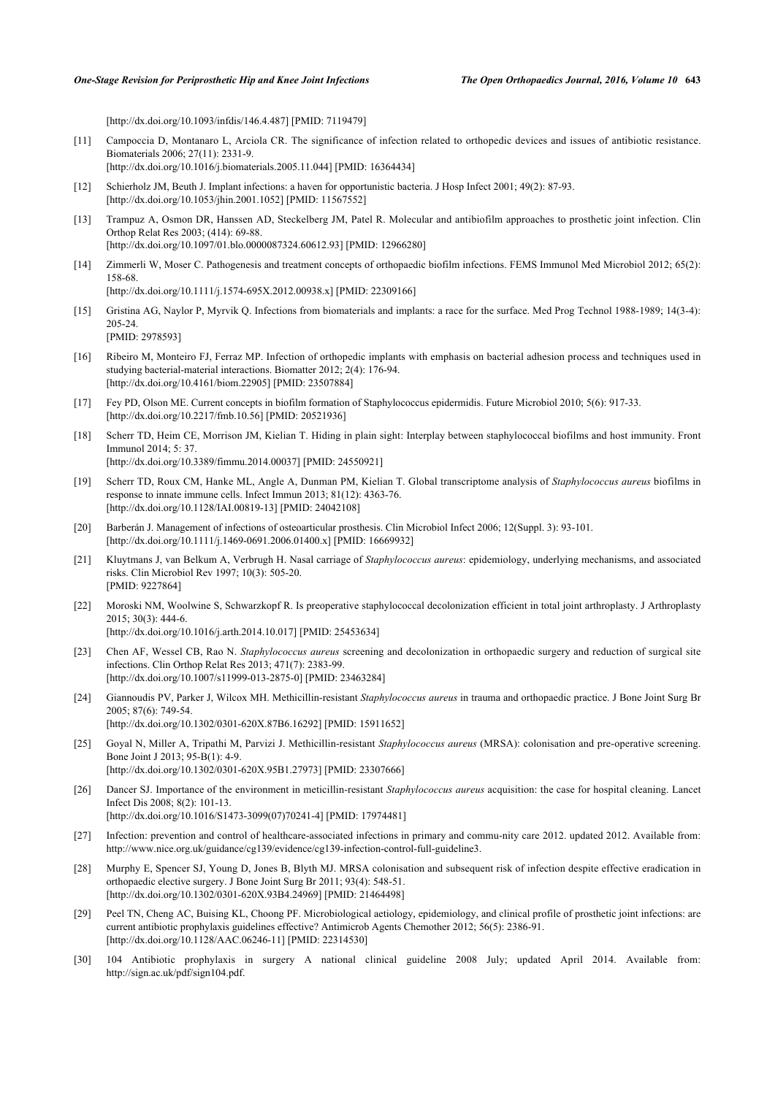[\[http://dx.doi.org/10.1093/infdis/146.4.487](http://dx.doi.org/10.1093/infdis/146.4.487)] [PMID: [7119479\]](http://www.ncbi.nlm.nih.gov/pubmed/7119479)

- <span id="page-7-0"></span>[11] Campoccia D, Montanaro L, Arciola CR. The significance of infection related to orthopedic devices and issues of antibiotic resistance. Biomaterials 2006; 27(11): 2331-9. [\[http://dx.doi.org/10.1016/j.biomaterials.2005.11.044\]](http://dx.doi.org/10.1016/j.biomaterials.2005.11.044) [PMID: [16364434](http://www.ncbi.nlm.nih.gov/pubmed/16364434)]
- <span id="page-7-1"></span>[12] Schierholz JM, Beuth J. Implant infections: a haven for opportunistic bacteria. J Hosp Infect 2001; 49(2): 87-93. [\[http://dx.doi.org/10.1053/jhin.2001.1052](http://dx.doi.org/10.1053/jhin.2001.1052)] [PMID: [11567552\]](http://www.ncbi.nlm.nih.gov/pubmed/11567552)
- <span id="page-7-2"></span>[13] Trampuz A, Osmon DR, Hanssen AD, Steckelberg JM, Patel R. Molecular and antibiofilm approaches to prosthetic joint infection. Clin Orthop Relat Res 2003; (414): 69-88.

[\[http://dx.doi.org/10.1097/01.blo.0000087324.60612.93](http://dx.doi.org/10.1097/01.blo.0000087324.60612.93)] [PMID: [12966280\]](http://www.ncbi.nlm.nih.gov/pubmed/12966280)

- <span id="page-7-3"></span>[14] Zimmerli W, Moser C. Pathogenesis and treatment concepts of orthopaedic biofilm infections. FEMS Immunol Med Microbiol 2012; 65(2): 158-68. [\[http://dx.doi.org/10.1111/j.1574-695X.2012.00938.x](http://dx.doi.org/10.1111/j.1574-695X.2012.00938.x)] [PMID: [22309166](http://www.ncbi.nlm.nih.gov/pubmed/22309166)]
- <span id="page-7-4"></span>[15] Gristina AG, Naylor P, Myrvik Q. Infections from biomaterials and implants: a race for the surface. Med Prog Technol 1988-1989; 14(3-4): 205-24.

[PMID: [2978593\]](http://www.ncbi.nlm.nih.gov/pubmed/2978593)

- <span id="page-7-5"></span>[16] Ribeiro M, Monteiro FJ, Ferraz MP. Infection of orthopedic implants with emphasis on bacterial adhesion process and techniques used in studying bacterial-material interactions. Biomatter 2012; 2(4): 176-94. [\[http://dx.doi.org/10.4161/biom.22905](http://dx.doi.org/10.4161/biom.22905)] [PMID: [23507884\]](http://www.ncbi.nlm.nih.gov/pubmed/23507884)
- <span id="page-7-6"></span>[17] Fey PD, Olson ME. Current concepts in biofilm formation of Staphylococcus epidermidis. Future Microbiol 2010; 5(6): 917-33. [\[http://dx.doi.org/10.2217/fmb.10.56\]](http://dx.doi.org/10.2217/fmb.10.56) [PMID: [20521936](http://www.ncbi.nlm.nih.gov/pubmed/20521936)]
- <span id="page-7-7"></span>[18] Scherr TD, Heim CE, Morrison JM, Kielian T. Hiding in plain sight: Interplay between staphylococcal biofilms and host immunity. Front Immunol 2014; 5: 37.
	- [\[http://dx.doi.org/10.3389/fimmu.2014.00037](http://dx.doi.org/10.3389/fimmu.2014.00037)] [PMID: [24550921\]](http://www.ncbi.nlm.nih.gov/pubmed/24550921)
- <span id="page-7-8"></span>[19] Scherr TD, Roux CM, Hanke ML, Angle A, Dunman PM, Kielian T. Global transcriptome analysis of *Staphylococcus aureus* biofilms in response to innate immune cells. Infect Immun 2013; 81(12): 4363-76. [\[http://dx.doi.org/10.1128/IAI.00819-13\]](http://dx.doi.org/10.1128/IAI.00819-13) [PMID: [24042108](http://www.ncbi.nlm.nih.gov/pubmed/24042108)]
- <span id="page-7-9"></span>[20] Barberán J. Management of infections of osteoarticular prosthesis. Clin Microbiol Infect 2006; 12(Suppl. 3): 93-101. [\[http://dx.doi.org/10.1111/j.1469-0691.2006.01400.x\]](http://dx.doi.org/10.1111/j.1469-0691.2006.01400.x) [PMID: [16669932](http://www.ncbi.nlm.nih.gov/pubmed/16669932)]
- <span id="page-7-10"></span>[21] Kluytmans J, van Belkum A, Verbrugh H. Nasal carriage of *Staphylococcus aureus*: epidemiology, underlying mechanisms, and associated risks. Clin Microbiol Rev 1997; 10(3): 505-20. [PMID: [9227864\]](http://www.ncbi.nlm.nih.gov/pubmed/9227864)
- <span id="page-7-11"></span>[22] Moroski NM, Woolwine S, Schwarzkopf R. Is preoperative staphylococcal decolonization efficient in total joint arthroplasty. J Arthroplasty 2015; 30(3): 444-6. [\[http://dx.doi.org/10.1016/j.arth.2014.10.017](http://dx.doi.org/10.1016/j.arth.2014.10.017)] [PMID: [25453634](http://www.ncbi.nlm.nih.gov/pubmed/25453634)]
- <span id="page-7-12"></span>[23] Chen AF, Wessel CB, Rao N. *Staphylococcus aureus* screening and decolonization in orthopaedic surgery and reduction of surgical site infections. Clin Orthop Relat Res 2013; 471(7): 2383-99. [\[http://dx.doi.org/10.1007/s11999-013-2875-0\]](http://dx.doi.org/10.1007/s11999-013-2875-0) [PMID: [23463284](http://www.ncbi.nlm.nih.gov/pubmed/23463284)]
- <span id="page-7-13"></span>[24] Giannoudis PV, Parker J, Wilcox MH. Methicillin-resistant *Staphylococcus aureus* in trauma and orthopaedic practice. J Bone Joint Surg Br 2005; 87(6): 749-54. [\[http://dx.doi.org/10.1302/0301-620X.87B6.16292\]](http://dx.doi.org/10.1302/0301-620X.87B6.16292) [PMID: [15911652](http://www.ncbi.nlm.nih.gov/pubmed/15911652)]
- <span id="page-7-14"></span>[25] Goyal N, Miller A, Tripathi M, Parvizi J. Methicillin-resistant *Staphylococcus aureus* (MRSA): colonisation and pre-operative screening. Bone Joint J 2013; 95-B(1): 4-9. [\[http://dx.doi.org/10.1302/0301-620X.95B1.27973\]](http://dx.doi.org/10.1302/0301-620X.95B1.27973) [PMID: [23307666](http://www.ncbi.nlm.nih.gov/pubmed/23307666)]
- <span id="page-7-15"></span>[26] Dancer SJ. Importance of the environment in meticillin-resistant *Staphylococcus aureus* acquisition: the case for hospital cleaning. Lancet Infect Dis 2008; 8(2): 101-13. [\[http://dx.doi.org/10.1016/S1473-3099\(07\)70241-4\]](http://dx.doi.org/10.1016/S1473-3099(07)70241-4) [PMID: [17974481](http://www.ncbi.nlm.nih.gov/pubmed/17974481)]
- <span id="page-7-16"></span>[27] Infection: prevention and control of healthcare-associated infections in primary and commu-nity care 2012. updated 2012. Available from: <http://www.nice.org.uk/guidance/cg139/evidence/cg139-infection-control-full-guideline3>.
- <span id="page-7-17"></span>[28] Murphy E, Spencer SJ, Young D, Jones B, Blyth MJ. MRSA colonisation and subsequent risk of infection despite effective eradication in orthopaedic elective surgery. J Bone Joint Surg Br 2011; 93(4): 548-51. [\[http://dx.doi.org/10.1302/0301-620X.93B4.24969\]](http://dx.doi.org/10.1302/0301-620X.93B4.24969) [PMID: [21464498](http://www.ncbi.nlm.nih.gov/pubmed/21464498)]
- <span id="page-7-18"></span>[29] Peel TN, Cheng AC, Buising KL, Choong PF. Microbiological aetiology, epidemiology, and clinical profile of prosthetic joint infections: are current antibiotic prophylaxis guidelines effective? Antimicrob Agents Chemother 2012; 56(5): 2386-91. [\[http://dx.doi.org/10.1128/AAC.06246-11](http://dx.doi.org/10.1128/AAC.06246-11)] [PMID: [22314530\]](http://www.ncbi.nlm.nih.gov/pubmed/22314530)
- <span id="page-7-19"></span>[30] 104 Antibiotic prophylaxis in surgery A national clinical guideline 2008 July; updated April 2014. Available from: <http://sign.ac.uk/pdf/sign104.pdf>.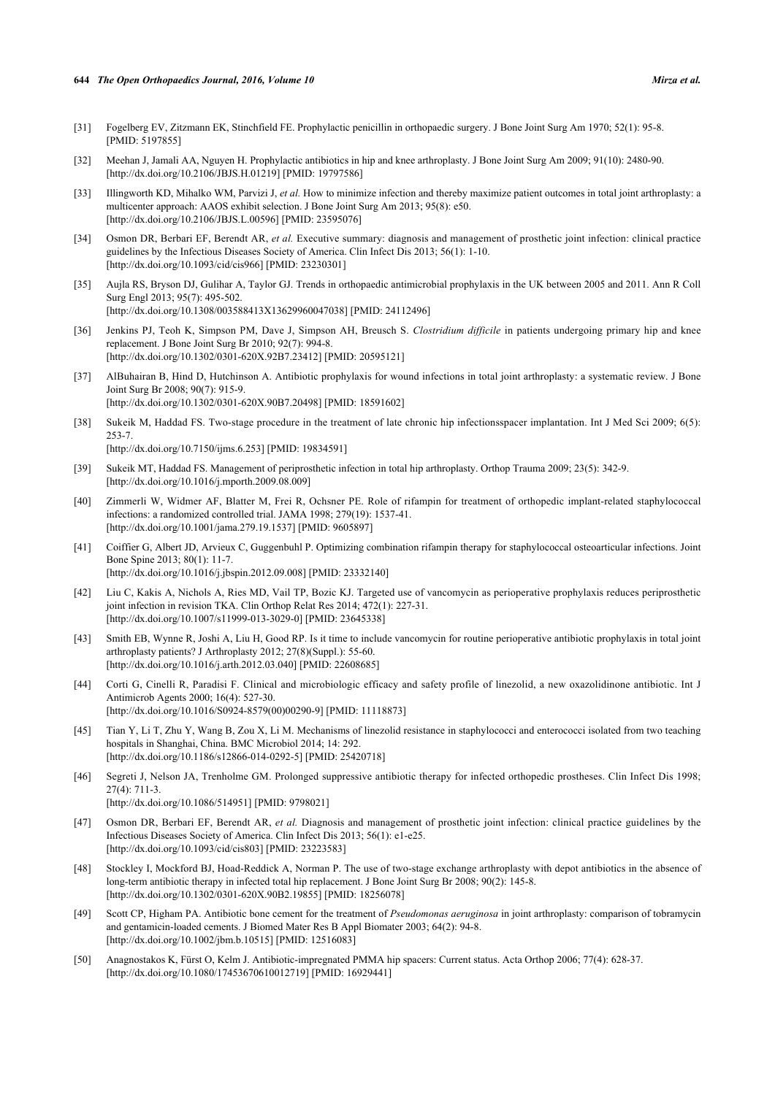#### **644** *The Open Orthopaedics Journal, 2016, Volume 10 Mirza et al.*

- <span id="page-8-0"></span>[31] Fogelberg EV, Zitzmann EK, Stinchfield FE. Prophylactic penicillin in orthopaedic surgery. J Bone Joint Surg Am 1970; 52(1): 95-8. [PMID: [5197855\]](http://www.ncbi.nlm.nih.gov/pubmed/5197855)
- <span id="page-8-1"></span>[32] Meehan J, Jamali AA, Nguyen H. Prophylactic antibiotics in hip and knee arthroplasty. J Bone Joint Surg Am 2009; 91(10): 2480-90. [\[http://dx.doi.org/10.2106/JBJS.H.01219\]](http://dx.doi.org/10.2106/JBJS.H.01219) [PMID: [19797586](http://www.ncbi.nlm.nih.gov/pubmed/19797586)]
- <span id="page-8-2"></span>[33] Illingworth KD, Mihalko WM, Parvizi J, et al. How to minimize infection and thereby maximize patient outcomes in total joint arthroplasty: a multicenter approach: AAOS exhibit selection. J Bone Joint Surg Am 2013; 95(8): e50. [\[http://dx.doi.org/10.2106/JBJS.L.00596\]](http://dx.doi.org/10.2106/JBJS.L.00596) [PMID: [23595076](http://www.ncbi.nlm.nih.gov/pubmed/23595076)]
- <span id="page-8-3"></span>[34] Osmon DR, Berbari EF, Berendt AR, *et al.* Executive summary: diagnosis and management of prosthetic joint infection: clinical practice guidelines by the Infectious Diseases Society of America. Clin Infect Dis 2013; 56(1): 1-10. [\[http://dx.doi.org/10.1093/cid/cis966\]](http://dx.doi.org/10.1093/cid/cis966) [PMID: [23230301](http://www.ncbi.nlm.nih.gov/pubmed/23230301)]
- <span id="page-8-4"></span>[35] Aujla RS, Bryson DJ, Gulihar A, Taylor GJ. Trends in orthopaedic antimicrobial prophylaxis in the UK between 2005 and 2011. Ann R Coll Surg Engl 2013; 95(7): 495-502. [\[http://dx.doi.org/10.1308/003588413X13629960047038\]](http://dx.doi.org/10.1308/003588413X13629960047038) [PMID: [24112496](http://www.ncbi.nlm.nih.gov/pubmed/24112496)]
- <span id="page-8-5"></span>[36] Jenkins PJ, Teoh K, Simpson PM, Dave J, Simpson AH, Breusch S. *Clostridium difficile* in patients undergoing primary hip and knee replacement. J Bone Joint Surg Br 2010; 92(7): 994-8. [\[http://dx.doi.org/10.1302/0301-620X.92B7.23412\]](http://dx.doi.org/10.1302/0301-620X.92B7.23412) [PMID: [20595121](http://www.ncbi.nlm.nih.gov/pubmed/20595121)]
- <span id="page-8-6"></span>[37] AlBuhairan B, Hind D, Hutchinson A. Antibiotic prophylaxis for wound infections in total joint arthroplasty: a systematic review. J Bone Joint Surg Br 2008; 90(7): 915-9. [\[http://dx.doi.org/10.1302/0301-620X.90B7.20498\]](http://dx.doi.org/10.1302/0301-620X.90B7.20498) [PMID: [18591602](http://www.ncbi.nlm.nih.gov/pubmed/18591602)]
- <span id="page-8-7"></span>[38] Sukeik M, Haddad FS. Two-stage procedure in the treatment of late chronic hip infectionsspacer implantation. Int J Med Sci 2009; 6(5): 253-7. [\[http://dx.doi.org/10.7150/ijms.6.253\]](http://dx.doi.org/10.7150/ijms.6.253) [PMID: [19834591](http://www.ncbi.nlm.nih.gov/pubmed/19834591)]
- <span id="page-8-8"></span>[39] Sukeik MT, Haddad FS. Management of periprosthetic infection in total hip arthroplasty. Orthop Trauma 2009; 23(5): 342-9. [\[http://dx.doi.org/10.1016/j.mporth.2009.08.009](http://dx.doi.org/10.1016/j.mporth.2009.08.009)]
- <span id="page-8-9"></span>[40] Zimmerli W, Widmer AF, Blatter M, Frei R, Ochsner PE. Role of rifampin for treatment of orthopedic implant-related staphylococcal infections: a randomized controlled trial. JAMA 1998; 279(19): 1537-41. [\[http://dx.doi.org/10.1001/jama.279.19.1537](http://dx.doi.org/10.1001/jama.279.19.1537)] [PMID: [9605897\]](http://www.ncbi.nlm.nih.gov/pubmed/9605897)
- <span id="page-8-10"></span>[41] Coiffier G, Albert JD, Arvieux C, Guggenbuhl P. Optimizing combination rifampin therapy for staphylococcal osteoarticular infections. Joint Bone Spine 2013; 80(1): 11-7. [\[http://dx.doi.org/10.1016/j.jbspin.2012.09.008\]](http://dx.doi.org/10.1016/j.jbspin.2012.09.008) [PMID: [23332140](http://www.ncbi.nlm.nih.gov/pubmed/23332140)]
- <span id="page-8-11"></span>[42] Liu C, Kakis A, Nichols A, Ries MD, Vail TP, Bozic KJ. Targeted use of vancomycin as perioperative prophylaxis reduces periprosthetic joint infection in revision TKA. Clin Orthop Relat Res 2014; 472(1): 227-31. [\[http://dx.doi.org/10.1007/s11999-013-3029-0\]](http://dx.doi.org/10.1007/s11999-013-3029-0) [PMID: [23645338](http://www.ncbi.nlm.nih.gov/pubmed/23645338)]
- <span id="page-8-12"></span>[43] Smith EB, Wynne R, Joshi A, Liu H, Good RP. Is it time to include vancomycin for routine perioperative antibiotic prophylaxis in total joint arthroplasty patients? J Arthroplasty 2012; 27(8)(Suppl.): 55-60. [\[http://dx.doi.org/10.1016/j.arth.2012.03.040](http://dx.doi.org/10.1016/j.arth.2012.03.040)] [PMID: [22608685](http://www.ncbi.nlm.nih.gov/pubmed/22608685)]
- <span id="page-8-13"></span>[44] Corti G, Cinelli R, Paradisi F. Clinical and microbiologic efficacy and safety profile of linezolid, a new oxazolidinone antibiotic. Int J Antimicrob Agents 2000; 16(4): 527-30. [\[http://dx.doi.org/10.1016/S0924-8579\(00\)00290-9\]](http://dx.doi.org/10.1016/S0924-8579(00)00290-9) [PMID: [11118873](http://www.ncbi.nlm.nih.gov/pubmed/11118873)]
- <span id="page-8-14"></span>[45] Tian Y, Li T, Zhu Y, Wang B, Zou X, Li M. Mechanisms of linezolid resistance in staphylococci and enterococci isolated from two teaching hospitals in Shanghai, China. BMC Microbiol 2014; 14: 292. [\[http://dx.doi.org/10.1186/s12866-014-0292-5\]](http://dx.doi.org/10.1186/s12866-014-0292-5) [PMID: [25420718](http://www.ncbi.nlm.nih.gov/pubmed/25420718)]
- <span id="page-8-15"></span>[46] Segreti J, Nelson JA, Trenholme GM. Prolonged suppressive antibiotic therapy for infected orthopedic prostheses. Clin Infect Dis 1998;  $27(4)$ : 711-3. [\[http://dx.doi.org/10.1086/514951\]](http://dx.doi.org/10.1086/514951) [PMID: [9798021](http://www.ncbi.nlm.nih.gov/pubmed/9798021)]
- <span id="page-8-16"></span>[47] Osmon DR, Berbari EF, Berendt AR, *et al.* Diagnosis and management of prosthetic joint infection: clinical practice guidelines by the Infectious Diseases Society of America. Clin Infect Dis 2013; 56(1): e1-e25. [\[http://dx.doi.org/10.1093/cid/cis803\]](http://dx.doi.org/10.1093/cid/cis803) [PMID: [23223583](http://www.ncbi.nlm.nih.gov/pubmed/23223583)]
- <span id="page-8-17"></span>[48] Stockley I, Mockford BJ, Hoad-Reddick A, Norman P. The use of two-stage exchange arthroplasty with depot antibiotics in the absence of long-term antibiotic therapy in infected total hip replacement. J Bone Joint Surg Br 2008; 90(2): 145-8. [\[http://dx.doi.org/10.1302/0301-620X.90B2.19855\]](http://dx.doi.org/10.1302/0301-620X.90B2.19855) [PMID: [18256078](http://www.ncbi.nlm.nih.gov/pubmed/18256078)]
- <span id="page-8-18"></span>[49] Scott CP, Higham PA. Antibiotic bone cement for the treatment of *Pseudomonas aeruginosa* in joint arthroplasty: comparison of tobramycin and gentamicin-loaded cements. J Biomed Mater Res B Appl Biomater 2003; 64(2): 94-8. [\[http://dx.doi.org/10.1002/jbm.b.10515](http://dx.doi.org/10.1002/jbm.b.10515)] [PMID: [12516083\]](http://www.ncbi.nlm.nih.gov/pubmed/12516083)
- <span id="page-8-19"></span>[50] Anagnostakos K, Fürst O, Kelm J. Antibiotic-impregnated PMMA hip spacers: Current status. Acta Orthop 2006; 77(4): 628-37. [\[http://dx.doi.org/10.1080/17453670610012719\]](http://dx.doi.org/10.1080/17453670610012719) [PMID: [16929441](http://www.ncbi.nlm.nih.gov/pubmed/16929441)]